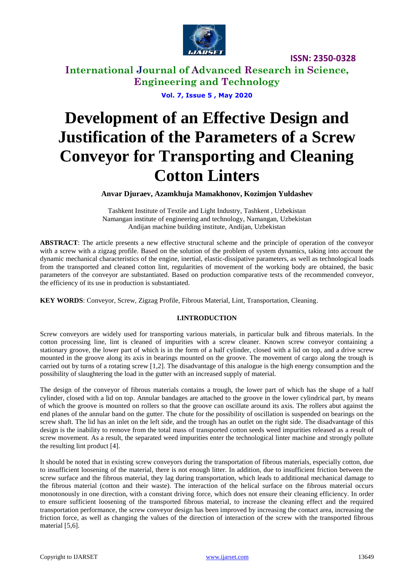

**ISSN: 2350-0328**

**International Journal of Advanced Research in Science, Engineering and Technology**

**Vol. 7, Issue 5 , May 2020**

# **Development of an Effective Design and Justification of the Parameters of a Screw Conveyor for Transporting and Cleaning Cotton Linters**

**Anvar Djuraev, Azamkhuja Mamakhonov, Kozimjon Yuldashev**

Tashkent Institute of Textile and Light Industry, Tashkent , Uzbekistan Namangan institute of engineering and technology, Namangan, Uzbekistan Andijan machine building institute, Andijan, Uzbekistan

**ABSTRACT**: The article presents a new effective structural scheme and the principle of operation of the conveyor with a screw with a zigzag profile. Based on the solution of the problem of system dynamics, taking into account the dynamic mechanical characteristics of the engine, inertial, elastic-dissipative parameters, as well as technological loads from the transported and cleaned cotton lint, regularities of movement of the working body are obtained, the basic parameters of the conveyor are substantiated. Based on production comparative tests of the recommended conveyor, the efficiency of its use in production is substantiated.

**KEY WORDS**: Conveyor, Screw, Zigzag Profile, Fibrous Material, Lint, Transportation, Cleaning.

#### **I.INTRODUCTION**

Screw conveyors are widely used for transporting various materials, in particular bulk and fibrous materials. In the cotton processing line, lint is cleaned of impurities with a screw cleaner. Known screw conveyor containing a stationary groove, the lower part of which is in the form of a half cylinder, closed with a lid on top, and a drive screw mounted in the groove along its axis in bearings mounted on the groove. The movement of cargo along the trough is carried out by turns of a rotating screw [1,2]. The disadvantage of this analogue is the high energy consumption and the possibility of slaughtering the load in the gutter with an increased supply of material.

The design of the conveyor of fibrous materials contains a trough, the lower part of which has the shape of a half cylinder, closed with a lid on top. Annular bandages are attached to the groove in the lower cylindrical part, by means of which the groove is mounted on rollers so that the groove can oscillate around its axis. The rollers abut against the end planes of the annular band on the gutter. The chute for the possibility of oscillation is suspended on bearings on the screw shaft. The lid has an inlet on the left side, and the trough has an outlet on the right side. The disadvantage of this design is the inability to remove from the total mass of transported cotton seeds weed impurities released as a result of screw movement. As a result, the separated weed impurities enter the technological linter machine and strongly pollute the resulting lint product [4].

It should be noted that in existing screw conveyors during the transportation of fibrous materials, especially cotton, due to insufficient loosening of the material, there is not enough litter. In addition, due to insufficient friction between the screw surface and the fibrous material, they lag during transportation, which leads to additional mechanical damage to the fibrous material (cotton and their waste). The interaction of the helical surface on the fibrous material occurs monotonously in one direction, with a constant driving force, which does not ensure their cleaning efficiency. In order to ensure sufficient loosening of the transported fibrous material, to increase the cleaning effect and the required transportation performance, the screw conveyor design has been improved by increasing the contact area, increasing the friction force, as well as changing the values of the direction of interaction of the screw with the transported fibrous material [5,6].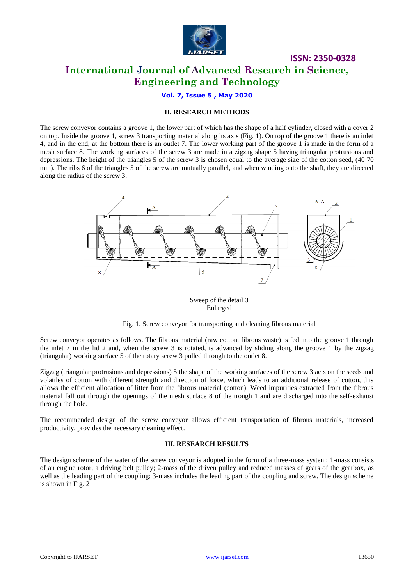

## **ISSN: 2350-0328 International Journal of Advanced Research in Science, Engineering and Technology**

#### **Vol. 7, Issue 5 , May 2020**

#### **II. RESEARCH METHODS**

The screw conveyor contains a groove 1, the lower part of which has the shape of a half cylinder, closed with a cover 2 on top. Inside the groove 1, screw 3 transporting material along its axis (Fig. 1). On top of the groove 1 there is an inlet 4, and in the end, at the bottom there is an outlet 7. The lower working part of the groove 1 is made in the form of a mesh surface 8. The working surfaces of the screw 3 are made in a zigzag shape 5 having triangular protrusions and depressions. The height of the triangles 5 of the screw 3 is chosen equal to the average size of the cotton seed, (40 70 mm). The ribs 6 of the triangles 5 of the screw are mutually parallel, and when winding onto the shaft, they are directed along the radius of the screw 3.



Sweep of the detail 3 Enlarged

Fig. 1. Screw conveyor for transporting and cleaning fibrous material

Screw conveyor operates as follows. The fibrous material (raw cotton, fibrous waste) is fed into the groove 1 through the inlet 7 in the lid 2 and, when the screw 3 is rotated, is advanced by sliding along the groove 1 by the zigzag (triangular) working surface 5 of the rotary screw 3 pulled through to the outlet 8.

Zigzag (triangular protrusions and depressions) 5 the shape of the working surfaces of the screw 3 acts on the seeds and volatiles of cotton with different strength and direction of force, which leads to an additional release of cotton, this allows the efficient allocation of litter from the fibrous material (cotton). Weed impurities extracted from the fibrous material fall out through the openings of the mesh surface 8 of the trough 1 and are discharged into the self-exhaust through the hole.

The recommended design of the screw conveyor allows efficient transportation of fibrous materials, increased productivity, provides the necessary cleaning effect.

#### **III. RESEARCH RESULTS**

The design scheme of the water of the screw conveyor is adopted in the form of a three-mass system: 1-mass consists of an engine rotor, a driving belt pulley; 2-mass of the driven pulley and reduced masses of gears of the gearbox, as well as the leading part of the coupling; 3-mass includes the leading part of the coupling and screw. The design scheme is shown in Fig. 2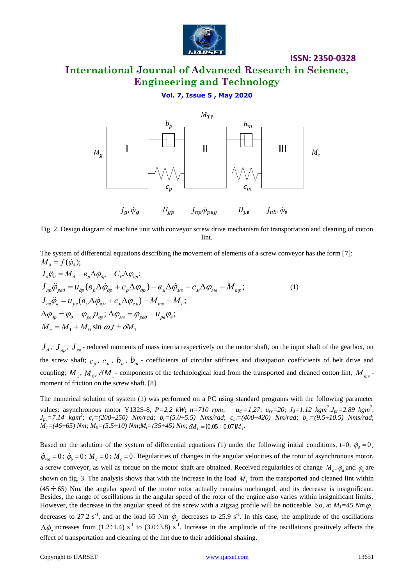

# **International Journal of Advanced Research in Science, Engineering and Technology**

**ISSN: 2350-0328**

#### **Vol. 7, Issue 5 , May 2020**



Fig. 2. Design diagram of machine unit with conveyor screw drive mechanism for transportation and cleaning of cotton lint.

The system of differential equations describing the movement of elements of a screw conveyor has the form [7]:  $M_{\alpha} = f(\dot{\varphi}_{\alpha});$ 

$$
M_{\rho} = f(\dot{\varphi}_{\rho});
$$
  
\n
$$
J_{\rho}\ddot{\varphi}_{\rho} = M_{\rho} - \epsilon_{p}\Delta\dot{\varphi}_{\rho p} - C_{P}\Delta\varphi_{\rho p};
$$
  
\n
$$
J_{np}\ddot{\varphi}_{pe\partial} = u_{\rho p}(\epsilon_{p}\Delta\dot{\varphi}_{\rho p} + c_{p}\Delta\varphi_{\rho p}) - \epsilon_{M}\Delta\dot{\varphi}_{Mg} - c_{M}\Delta\varphi_{Mg} - M_{mp};
$$
  
\n
$$
J_{n\alpha}\ddot{\varphi}_{\alpha} = u_{p\alpha}(\epsilon_{M}\Delta\dot{\varphi}_{\alpha M} + c_{M}\Delta\varphi_{\alpha M}) - M_{ms} - M_{c};
$$
  
\n
$$
\Delta\varphi_{\rho p} = \varphi_{\rho} - \varphi_{pe\partial}u_{\rho p}; \Delta\varphi_{Mg} = \varphi_{pe\partial} - u_{p\alpha}\varphi_{\alpha};
$$
  
\n
$$
M_{c} = M_{1} + M_{0} \sin \omega_{\alpha} t \pm \delta M_{1}
$$
  
\n(1)

 $J_{\partial}$ ,  $J_{np}$ ,  $J_{\kappa g}$  - reduced moments of mass inertia respectively on the motor shaft, on the input shaft of the gearbox, on the screw shaft;  $c_p$ ,  $c_M$ ,  $b_p$ ,  $b_m$  - coefficients of circular stiffness and dissipation coefficients of belt drive and coupling;  $M_1$ ,  $M_0$ ,  $\delta M_1$ - components of the technological load from the transported and cleaned cotton lint,  $M_{me}$ moment of friction on the screw shaft. [8].

The numerical solution of system (1) was performed on a PC using standard programs with the following parameter values: asynchronous motor Y132S-8,  $P=2.2$  kW;  $n=710$  rpm; ;*Jpr=2.89 kgm<sup>2</sup>* ; *Jpv=7.14 kgm<sup>2</sup>* ; *cr=(200÷250) Nm/rad*; *br=(5.0÷5.5) Nms/rad*; *cm=(400÷420) Nm/rad*; *bm=(9.5÷10.5) Nms/rad*;  $M_I = (46 \div 65)$  Nm;  $M_0 = (5.5 \div 10)$  Nm; $M_t = (35 \div 45)$  Nm;  $\delta M_1 = (0.05 \div 0.07) M_1$ .

Based on the solution of the system of differential equations (1) under the following initial conditions, t=0;  $\dot{\varphi}_d = 0$ ;  $\dot{\varphi}_{\text{red}} = 0$ ;  $\dot{\varphi}_b = 0$ ;  $M_d = 0$ ;  $M_c = 0$ . Regularities of changes in the angular velocities of the rotor of asynchronous motor, a screw conveyor, as well as torque on the motor shaft are obtained. Received regularities of change  $M_d$ ,  $\dot{\varphi}_d$  and  $\dot{\varphi}_b$  are shown on fig. 3. The analysis shows that with the increase in the load  $M<sub>1</sub>$  from the transported and cleaned lint within  $(45 \div 65)$  Nm, the angular speed of the motor rotor actually remains unchanged, and its decrease is insignificant. Besides, the range of oscillations in the angular speed of the rotor of the engine also varies within insignificant limits. However, the decrease in the angular speed of the screw with a zigzag profile will be noticeable. So, at  $M_1$ =45 Nm $\dot{\phi}_s$ decreases to 27.2 s<sup>-1</sup>, and at the load 65 Nm  $\dot{\phi}_e$  decreases to 25.9 s<sup>-1</sup>. In this case, the amplitude of the oscillations  $\Delta\dot{\phi}_s$  increases from (1.2÷1.4) s<sup>-1</sup> to (3.0÷3.8) s<sup>-1</sup>. Increase in the amplitude of the oscillations positively affects the effect of transportation and cleaning of the lint due to their additional shaking.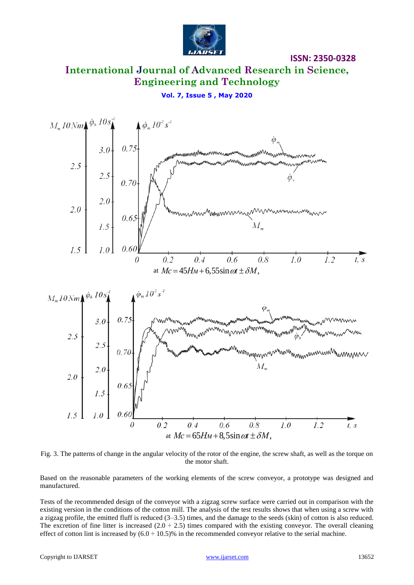

**ISSN: 2350-0328**

## **International Journal of Advanced Research in Science, Engineering and Technology**

**Vol. 7, Issue 5 , May 2020**





Based on the reasonable parameters of the working elements of the screw conveyor, a prototype was designed and manufactured.

Tests of the recommended design of the conveyor with a zigzag screw surface were carried out in comparison with the existing version in the conditions of the cotton mill. The analysis of the test results shows that when using a screw with a zigzag profile, the emitted fluff is reduced (3–3.5) times, and the damage to the seeds (skin) of cotton is also reduced. The excretion of fine litter is increased  $(2.0 \div 2.5)$  times compared with the existing conveyor. The overall cleaning effect of cotton lint is increased by  $(6.0 \div 10.5)\%$  in the recommended conveyor relative to the serial machine.